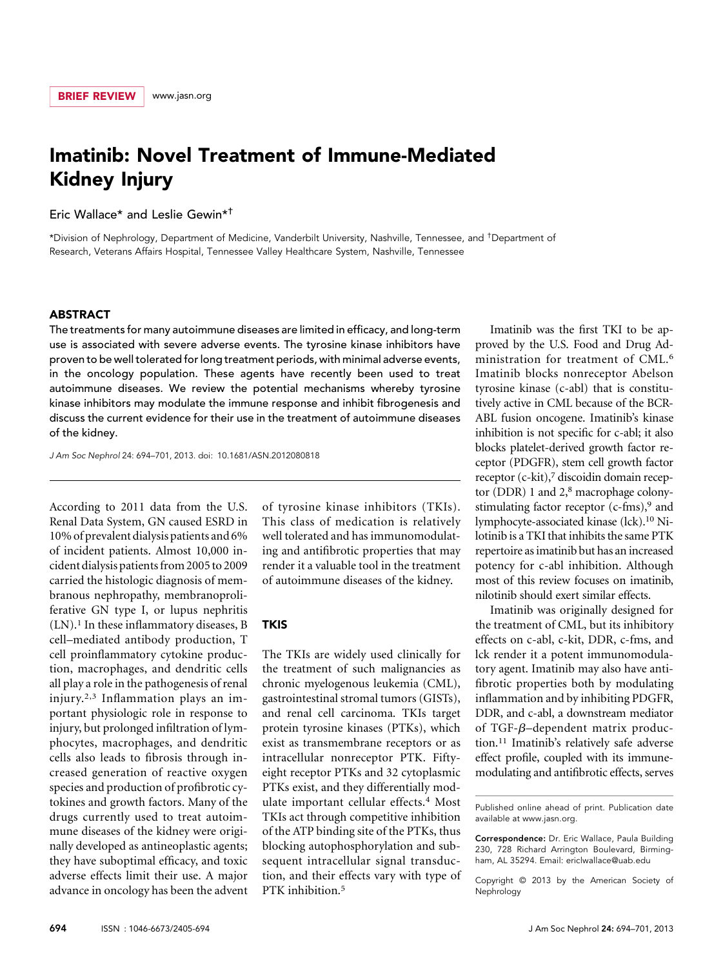# Imatinib: Novel Treatment of Immune-Mediated Kidney Injury

# Eric Wallace\* and Leslie Gewin\*†

\*Division of Nephrology, Department of Medicine, Vanderbilt University, Nashville, Tennessee, and † Department of Research, Veterans Affairs Hospital, Tennessee Valley Healthcare System, Nashville, Tennessee

### ABSTRACT

The treatments for many autoimmune diseases are limited in efficacy, and long-term use is associated with severe adverse events. The tyrosine kinase inhibitors have proven to be well tolerated for long treatment periods, with minimal adverse events, in the oncology population. These agents have recently been used to treat autoimmune diseases. We review the potential mechanisms whereby tyrosine kinase inhibitors may modulate the immune response and inhibit fibrogenesis and discuss the current evidence for their use in the treatment of autoimmune diseases of the kidney.

J Am Soc Nephrol 24: 694–701, 2013. doi: 10.1681/ASN.2012080818

According to 2011 data from the U.S. Renal Data System, GN caused ESRD in 10% of prevalent dialysis patients and 6% of incident patients. Almost 10,000 incident dialysis patientsfrom 2005 to 2009 carried the histologic diagnosis of membranous nephropathy, membranoproliferative GN type I, or lupus nephritis  $(LN).<sup>1</sup>$  In these inflammatory diseases, B cell–mediated antibody production, T cell proinflammatory cytokine production, macrophages, and dendritic cells all play a role in the pathogenesis of renal injury.2,3 Inflammation plays an important physiologic role in response to injury, but prolonged infiltration of lymphocytes, macrophages, and dendritic cells also leads to fibrosis through increased generation of reactive oxygen species and production of profibrotic cytokines and growth factors. Many of the drugs currently used to treat autoimmune diseases of the kidney were originally developed as antineoplastic agents; they have suboptimal efficacy, and toxic adverse effects limit their use. A major advance in oncology has been the advent of tyrosine kinase inhibitors (TKIs). This class of medication is relatively well tolerated and has immunomodulating and antifibrotic properties that may render it a valuable tool in the treatment of autoimmune diseases of the kidney.

#### **TKIS**

The TKIs are widely used clinically for the treatment of such malignancies as chronic myelogenous leukemia (CML), gastrointestinal stromal tumors (GISTs), and renal cell carcinoma. TKIs target protein tyrosine kinases (PTKs), which exist as transmembrane receptors or as intracellular nonreceptor PTK. Fiftyeight receptor PTKs and 32 cytoplasmic PTKs exist, and they differentially modulate important cellular effects.4 Most TKIs act through competitive inhibition of the ATP binding site of the PTKs, thus blocking autophosphorylation and subsequent intracellular signal transduction, and their effects vary with type of PTK inhibition.<sup>5</sup>

Imatinib was the first TKI to be approved by the U.S. Food and Drug Administration for treatment of CML.6 Imatinib blocks nonreceptor Abelson tyrosine kinase (c-abl) that is constitutively active in CML because of the BCR-ABL fusion oncogene. Imatinib's kinase inhibition is not specific for c-abl; it also blocks platelet-derived growth factor receptor (PDGFR), stem cell growth factor receptor (c-kit),<sup>7</sup> discoidin domain receptor (DDR) 1 and 2,<sup>8</sup> macrophage colonystimulating factor receptor  $(c\text{-}f\text{m}s)$ , and lymphocyte-associated kinase (lck).10 Nilotinib is a TKI that inhibits the same PTK repertoire as imatinib but has an increased potency for c-abl inhibition. Although most of this review focuses on imatinib, nilotinib should exert similar effects.

Imatinib was originally designed for the treatment of CML, but its inhibitory effects on c-abl, c-kit, DDR, c-fms, and lck render it a potent immunomodulatory agent. Imatinib may also have antifibrotic properties both by modulating inflammation and by inhibiting PDGFR, DDR, and c-abl, a downstream mediator of TGF- $\beta$ –dependent matrix production.11 Imatinib's relatively safe adverse effect profile, coupled with its immunemodulating and antifibrotic effects, serves

Published online ahead of print. Publication date available at [www.jasn.org.](http://www.jasn.org)

Correspondence: Dr. Eric Wallace, Paula Building 230, 728 Richard Arrington Boulevard, Birmingham, AL 35294. Email: [ericlwallace@uab.edu](mailto:ericlwallace@uab.edu)

Copyright © 2013 by the American Society of Nephrology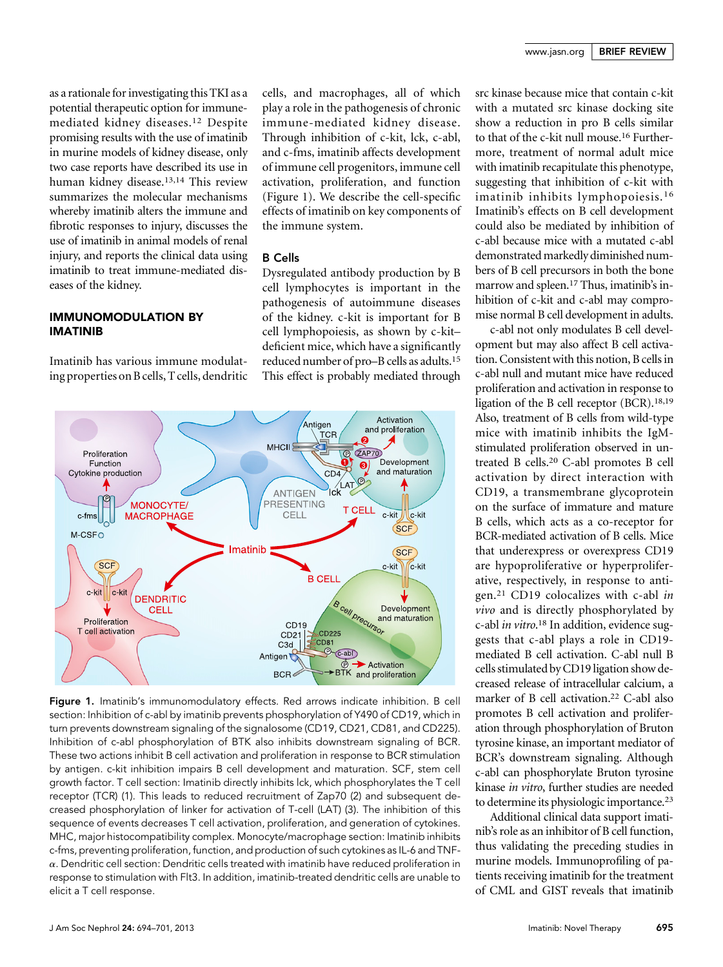as a rationale for investigating this TKI as a potential therapeutic option for immunemediated kidney diseases.12 Despite promising results with the use of imatinib in murine models of kidney disease, only two case reports have described its use in human kidney disease.13,14 This review summarizes the molecular mechanisms whereby imatinib alters the immune and fibrotic responses to injury, discusses the use of imatinib in animal models of renal injury, and reports the clinical data using imatinib to treat immune-mediated diseases of the kidney.

## IMMUNOMODULATION BY IMATINIB

Imatinib has various immune modulating properties on B cells, T cells, dendritic cells, and macrophages, all of which play a role in the pathogenesis of chronic immune-mediated kidney disease. Through inhibition of c-kit, lck, c-abl, and c-fms, imatinib affects development of immune cell progenitors, immune cell activation, proliferation, and function (Figure 1). We describe the cell-specific effects of imatinib on key components of the immune system.

## B Cells

Dysregulated antibody production by B cell lymphocytes is important in the pathogenesis of autoimmune diseases of the kidney. c-kit is important for B cell lymphopoiesis, as shown by c-kit– deficient mice, which have a significantly reduced number of pro–B cells as adults.15 This effect is probably mediated through



Figure 1. Imatinib's immunomodulatory effects. Red arrows indicate inhibition. B cell section: Inhibition of c-abl by imatinib prevents phosphorylation of Y490 of CD19, which in turn prevents downstream signaling of the signalosome (CD19, CD21, CD81, and CD225). Inhibition of c-abl phosphorylation of BTK also inhibits downstream signaling of BCR. These two actions inhibit B cell activation and proliferation in response to BCR stimulation by antigen. c-kit inhibition impairs B cell development and maturation. SCF, stem cell growth factor. T cell section: Imatinib directly inhibits lck, which phosphorylates the T cell receptor (TCR) (1). This leads to reduced recruitment of Zap70 (2) and subsequent decreased phosphorylation of linker for activation of T-cell (LAT) (3). The inhibition of this sequence of events decreases T cell activation, proliferation, and generation of cytokines. MHC, major histocompatibility complex. Monocyte/macrophage section: Imatinib inhibits c-fms, preventing proliferation, function, and production of such cytokines as IL-6 and TNF- $\alpha$ . Dendritic cell section: Dendritic cells treated with imatinib have reduced proliferation in response to stimulation with Flt3. In addition, imatinib-treated dendritic cells are unable to elicit a T cell response.

src kinase because mice that contain c-kit with a mutated src kinase docking site show a reduction in pro B cells similar to that of the c-kit null mouse.16 Furthermore, treatment of normal adult mice with imatinib recapitulate this phenotype, suggesting that inhibition of c-kit with imatinib inhibits lymphopoiesis.16 Imatinib's effects on B cell development could also be mediated by inhibition of c-abl because mice with a mutated c-abl demonstrated markedly diminished numbers of B cell precursors in both the bone marrow and spleen.17 Thus, imatinib's inhibition of c-kit and c-abl may compromise normal B cell development in adults.

c-abl not only modulates B cell development but may also affect B cell activation. Consistent with this notion, B cells in c-abl null and mutant mice have reduced proliferation and activation in response to ligation of the B cell receptor (BCR).18,19 Also, treatment of B cells from wild-type mice with imatinib inhibits the IgMstimulated proliferation observed in untreated B cells.20 C-abl promotes B cell activation by direct interaction with CD19, a transmembrane glycoprotein on the surface of immature and mature B cells, which acts as a co-receptor for BCR-mediated activation of B cells. Mice that underexpress or overexpress CD19 are hypoproliferative or hyperproliferative, respectively, in response to antigen.21 CD19 colocalizes with c-abl in vivo and is directly phosphorylated by c-abl *in vitro*.<sup>18</sup> In addition, evidence sug-<br>gests that c-abl plays a role in  $CD19$ gests that c-abl plays a role in CD19 mediated B cell activation. C-abl null B cells stimulated by CD19 ligation show decreased release of intracellular calcium, a marker of B cell activation.<sup>22</sup> C-abl also promotes B cell activation and proliferation through phosphorylation of Bruton tyrosine kinase, an important mediator of BCR's downstream signaling. Although c-abl can phosphorylate Bruton tyrosine kinase in vitro, further studies are needed to determine its physiologic importance.23

Additional clinical data support imatinib's role as an inhibitor of B cell function, thus validating the preceding studies in murine models. Immunoprofiling of patients receiving imatinib for the treatment of CML and GIST reveals that imatinib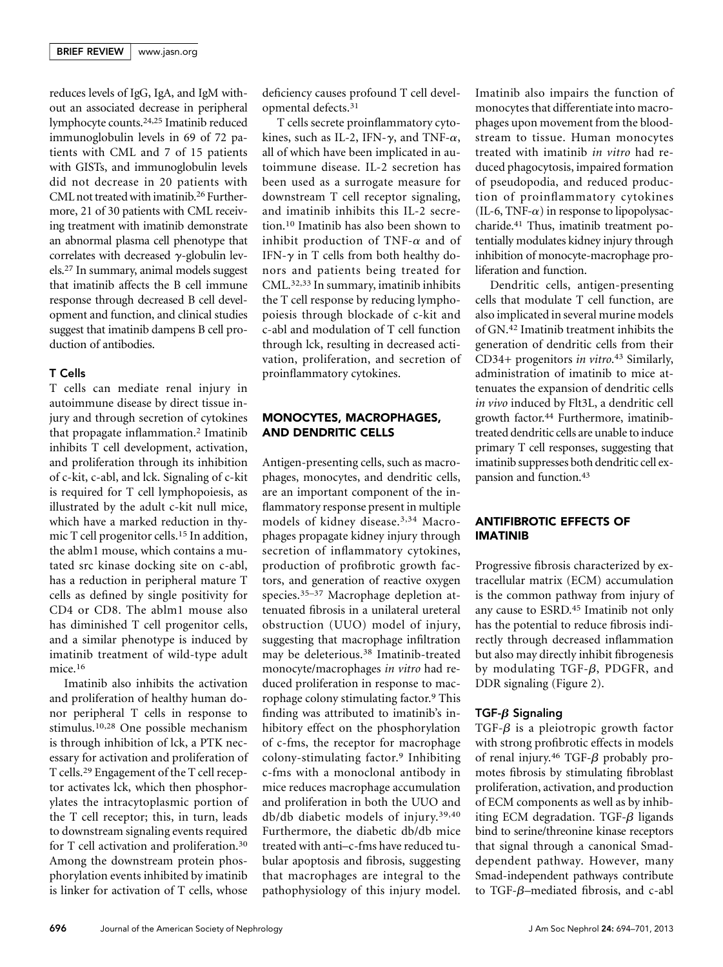reduces levels of IgG, IgA, and IgM without an associated decrease in peripheral lymphocyte counts.24,25 Imatinib reduced immunoglobulin levels in 69 of 72 patients with CML and 7 of 15 patients with GISTs, and immunoglobulin levels did not decrease in 20 patients with CML not treated with imatinib.26 Furthermore, 21 of 30 patients with CML receiving treatment with imatinib demonstrate an abnormal plasma cell phenotype that correlates with decreased  $\gamma$ -globulin levels.27 In summary, animal models suggest that imatinib affects the B cell immune response through decreased B cell development and function, and clinical studies suggest that imatinib dampens B cell production of antibodies.

#### T Cells

T cells can mediate renal injury in autoimmune disease by direct tissue injury and through secretion of cytokines that propagate inflammation.2 Imatinib inhibits T cell development, activation, and proliferation through its inhibition of c-kit, c-abl, and lck. Signaling of c-kit is required for T cell lymphopoiesis, as illustrated by the adult c-kit null mice, which have a marked reduction in thymic T cell progenitor cells.15 In addition, the ablm1 mouse, which contains a mutated src kinase docking site on c-abl, has a reduction in peripheral mature T cells as defined by single positivity for CD4 or CD8. The ablm1 mouse also has diminished T cell progenitor cells, and a similar phenotype is induced by imatinib treatment of wild-type adult mice.<sup>16</sup>

Imatinib also inhibits the activation and proliferation of healthy human donor peripheral T cells in response to stimulus.10,28 One possible mechanism is through inhibition of lck, a PTK necessary for activation and proliferation of T cells.29 Engagement of the T cell receptor activates lck, which then phosphorylates the intracytoplasmic portion of the T cell receptor; this, in turn, leads to downstream signaling events required for T cell activation and proliferation.30 Among the downstream protein phosphorylation events inhibited by imatinib is linker for activation of T cells, whose

deficiency causes profound T cell developmental defects.31

T cells secrete proinflammatory cytokines, such as IL-2, IFN- $\gamma$ , and TNF- $\alpha$ , all of which have been implicated in autoimmune disease. IL-2 secretion has been used as a surrogate measure for downstream T cell receptor signaling, and imatinib inhibits this IL-2 secretion.10 Imatinib has also been shown to inhibit production of TNF- $\alpha$  and of IFN- $\gamma$  in T cells from both healthy donors and patients being treated for CML.32,33 In summary, imatinib inhibits the T cell response by reducing lymphopoiesis through blockade of c-kit and c-abl and modulation of T cell function through lck, resulting in decreased activation, proliferation, and secretion of proinflammatory cytokines.

### MONOCYTES, MACROPHAGES, AND DENDRITIC CELLS

Antigen-presenting cells, such as macrophages, monocytes, and dendritic cells, are an important component of the inflammatory response present in multiple models of kidney disease.3,34 Macrophages propagate kidney injury through secretion of inflammatory cytokines, production of profibrotic growth factors, and generation of reactive oxygen species.35–<sup>37</sup> Macrophage depletion attenuated fibrosis in a unilateral ureteral obstruction (UUO) model of injury, suggesting that macrophage infiltration may be deleterious.38 Imatinib-treated monocyte/macrophages in vitro had reduced proliferation in response to macrophage colony stimulating factor.9 This finding was attributed to imatinib's inhibitory effect on the phosphorylation of c-fms, the receptor for macrophage colony-stimulating factor.9 Inhibiting c-fms with a monoclonal antibody in mice reduces macrophage accumulation and proliferation in both the UUO and db/db diabetic models of injury.39,40 Furthermore, the diabetic db/db mice treated with anti–c-fms have reduced tubular apoptosis and fibrosis, suggesting that macrophages are integral to the pathophysiology of this injury model.

Imatinib also impairs the function of monocytes that differentiate into macrophages upon movement from the bloodstream to tissue. Human monocytes treated with imatinib in vitro had reduced phagocytosis, impaired formation of pseudopodia, and reduced production of proinflammatory cytokines  $(IL-6, TNF- $\alpha$ )$  in response to lipopolysaccharide.41 Thus, imatinib treatment potentially modulates kidney injury through inhibition of monocyte-macrophage proliferation and function.

Dendritic cells, antigen-presenting cells that modulate T cell function, are also implicated in several murine models of GN.42 Imatinib treatment inhibits the generation of dendritic cells from their CD34+ progenitors *in vitro*.<sup>43</sup> Similarly, administration of imatinib to mice attenuates the expansion of dendritic cells in vivo induced by Flt3L, a dendritic cell growth factor.44 Furthermore, imatinibtreated dendritic cells are unable to induce primary T cell responses, suggesting that imatinib suppresses both dendritic cell expansion and function.43

## ANTIFIBROTIC EFFECTS OF IMATINIB

Progressive fibrosis characterized by extracellular matrix (ECM) accumulation is the common pathway from injury of any cause to ESRD.45 Imatinib not only has the potential to reduce fibrosis indirectly through decreased inflammation but also may directly inhibit fibrogenesis by modulating TGF- $\beta$ , PDGFR, and DDR signaling (Figure 2).

## TGF- $\beta$  Signaling

 $TGF- $\beta$  is a pleiotropic growth factor$ with strong profibrotic effects in models of renal injury.<sup>46</sup> TGF- $\beta$  probably promotes fibrosis by stimulating fibroblast proliferation, activation, and production of ECM components as well as by inhibiting ECM degradation. TGF- $\beta$  ligands bind to serine/threonine kinase receptors that signal through a canonical Smaddependent pathway. However, many Smad-independent pathways contribute to TGF- $\beta$ –mediated fibrosis, and c-abl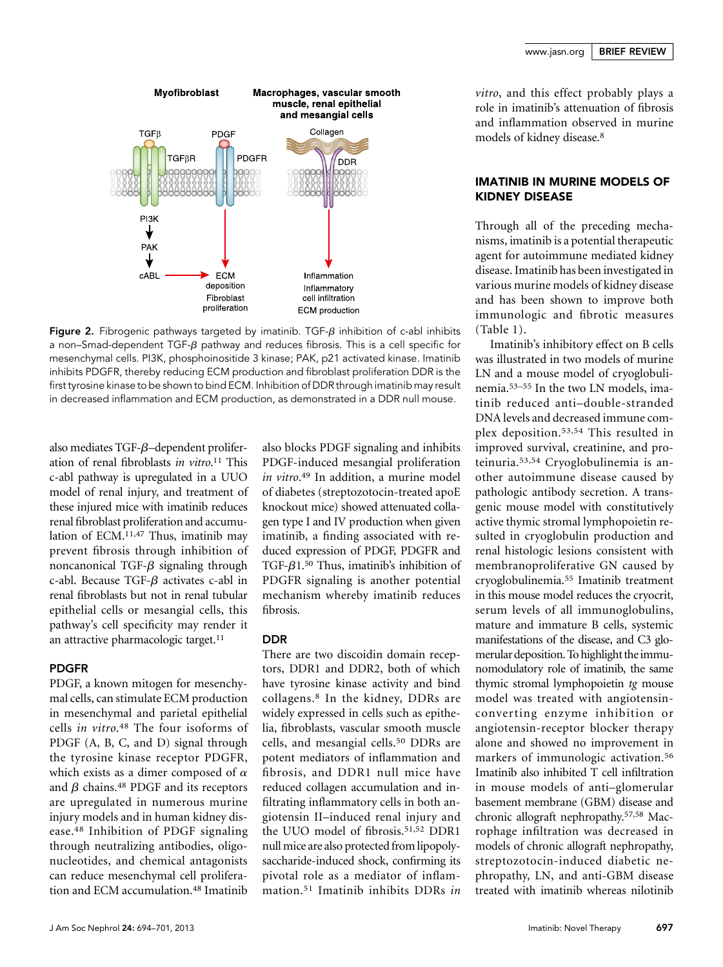

**Figure 2.** Fibrogenic pathways targeted by imatinib. TGF- $\beta$  inhibition of c-abl inhibits a non–Smad-dependent  $TGF-B$  pathway and reduces fibrosis. This is a cell specific for mesenchymal cells. PI3K, phosphoinositide 3 kinase; PAK, p21 activated kinase. Imatinib inhibits PDGFR, thereby reducing ECM production and fibroblast proliferation DDR is the first tyrosine kinase to be shown to bind ECM. Inhibition of DDR through imatinib may result in decreased inflammation and ECM production, as demonstrated in a DDR null mouse.

also mediates TGF- $\beta$ –dependent proliferation of renal fibroblasts *in vitro*.<sup>11</sup> This c-abl pathway is upregulated in a UUO model of renal injury, and treatment of these injured mice with imatinib reduces renal fibroblast proliferation and accumulation of ECM.11,47 Thus, imatinib may prevent fibrosis through inhibition of noncanonical TGF- $\beta$  signaling through c-abl. Because TGF- $\beta$  activates c-abl in renal fibroblasts but not in renal tubular epithelial cells or mesangial cells, this pathway's cell specificity may render it an attractive pharmacologic target.<sup>11</sup>

#### PDGFR

PDGF, a known mitogen for mesenchymal cells, can stimulate ECM production in mesenchymal and parietal epithelial cells in vitro.48 The four isoforms of PDGF (A, B, C, and D) signal through the tyrosine kinase receptor PDGFR, which exists as a dimer composed of  $\alpha$ and  $\beta$  chains.<sup>48</sup> PDGF and its receptors are upregulated in numerous murine injury models and in human kidney disease.48 Inhibition of PDGF signaling through neutralizing antibodies, oligonucleotides, and chemical antagonists can reduce mesenchymal cell proliferation and ECM accumulation.<sup>48</sup> Imatinib

also blocks PDGF signaling and inhibits PDGF-induced mesangial proliferation *in vitro*.<sup>49</sup> In addition, a murine model<br>of diabetes (streptozotocin-treated apoE of diabetes (streptozotocin-treated apoE knockout mice) showed attenuated collagen type I and IV production when given imatinib, a finding associated with reduced expression of PDGF, PDGFR and TGF- $\beta$ 1.<sup>50</sup> Thus, imatinib's inhibition of PDGFR signaling is another potential mechanism whereby imatinib reduces fibrosis.

# DDR

There are two discoidin domain receptors, DDR1 and DDR2, both of which have tyrosine kinase activity and bind collagens.8 In the kidney, DDRs are widely expressed in cells such as epithelia, fibroblasts, vascular smooth muscle cells, and mesangial cells.<sup>50</sup> DDRs are potent mediators of inflammation and fibrosis, and DDR1 null mice have reduced collagen accumulation and infiltrating inflammatory cells in both angiotensin II–induced renal injury and the UUO model of fibrosis.<sup>51,52</sup> DDR1 null mice are also protected from lipopolysaccharide-induced shock, confirming its pivotal role as a mediator of inflammation.51 Imatinib inhibits DDRs in

vitro, and this effect probably plays a role in imatinib's attenuation of fibrosis and inflammation observed in murine models of kidney disease.8

## IMATINIB IN MURINE MODELS OF KIDNEY DISEASE

Through all of the preceding mechanisms, imatinib is a potential therapeutic agent for autoimmune mediated kidney disease. Imatinib has been investigated in various murine models of kidney disease and has been shown to improve both immunologic and fibrotic measures (Table 1).

Imatinib's inhibitory effect on B cells was illustrated in two models of murine LN and a mouse model of cryoglobulinemia.53–<sup>55</sup> In the two LN models, imatinib reduced anti–double-stranded DNA levels and decreased immune complex deposition.53,54 This resulted in improved survival, creatinine, and proteinuria.53,54 Cryoglobulinemia is another autoimmune disease caused by pathologic antibody secretion. A transgenic mouse model with constitutively active thymic stromal lymphopoietin resulted in cryoglobulin production and renal histologic lesions consistent with membranoproliferative GN caused by cryoglobulinemia.55 Imatinib treatment in this mouse model reduces the cryocrit, serum levels of all immunoglobulins, mature and immature B cells, systemic manifestations of the disease, and C3 glomerular deposition.To highlight theimmunomodulatory role of imatinib, the same thymic stromal lymphopoietin tg mouse model was treated with angiotensinconverting enzyme inhibition or angiotensin-receptor blocker therapy alone and showed no improvement in markers of immunologic activation.56 Imatinib also inhibited T cell infiltration in mouse models of anti–glomerular basement membrane (GBM) disease and chronic allograft nephropathy.57,58 Macrophage infiltration was decreased in models of chronic allograft nephropathy, streptozotocin-induced diabetic nephropathy, LN, and anti-GBM disease treated with imatinib whereas nilotinib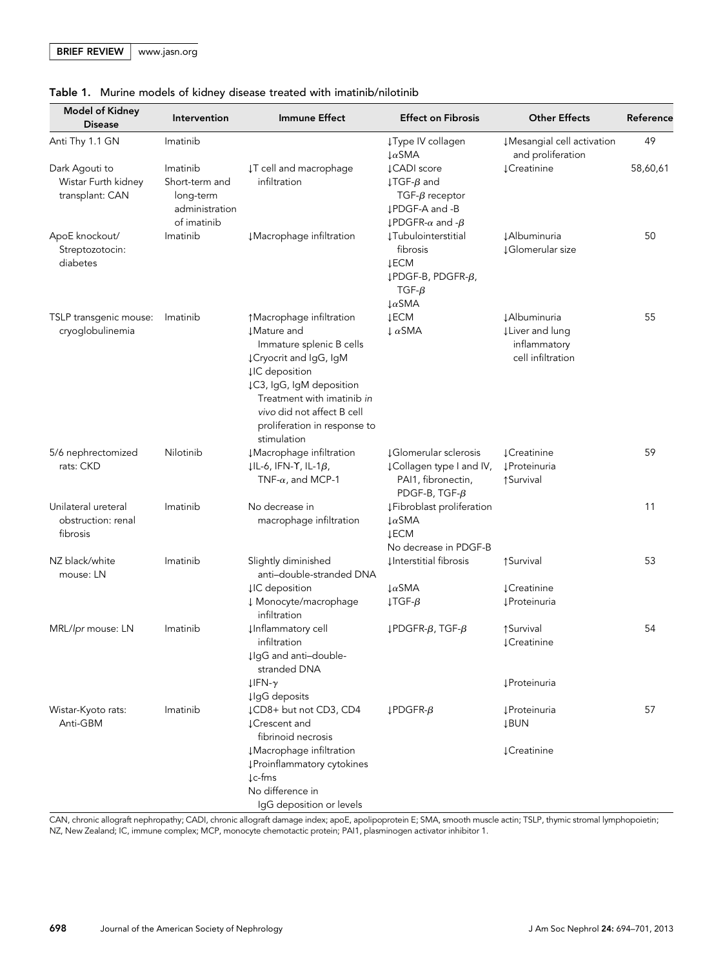|  |  |  |  |  |  |  | Table 1. Murine models of kidney disease treated with imatinib/nilotinib |  |
|--|--|--|--|--|--|--|--------------------------------------------------------------------------|--|
|--|--|--|--|--|--|--|--------------------------------------------------------------------------|--|

| <b>Model of Kidney</b><br><b>Disease</b>                 | Intervention                                                             | <b>Immune Effect</b>                                                                                                                                                                                                                                                  | <b>Effect on Fibrosis</b>                                                                                                                 | <b>Other Effects</b>                                                         | Reference |
|----------------------------------------------------------|--------------------------------------------------------------------------|-----------------------------------------------------------------------------------------------------------------------------------------------------------------------------------------------------------------------------------------------------------------------|-------------------------------------------------------------------------------------------------------------------------------------------|------------------------------------------------------------------------------|-----------|
| Anti Thy 1.1 GN                                          | Imatinib                                                                 |                                                                                                                                                                                                                                                                       | ↓Type IV collagen<br>$\downarrow \alpha$ SMA                                                                                              | #Mesangial cell activation<br>and proliferation                              | 49        |
| Dark Agouti to<br>Wistar Furth kidney<br>transplant: CAN | Imatinib<br>Short-term and<br>long-term<br>administration<br>of imatinib | IT cell and macrophage<br>infiltration                                                                                                                                                                                                                                | ↓CADI score<br>$\downarrow$ TGF- $\beta$ and<br>TGF- $\beta$ receptor<br>↓PDGF-A and -B<br>$\downarrow$ PDGFR- $\alpha$ and - $\beta$     | <b>↓Creatinine</b>                                                           | 58,60,61  |
| ApoE knockout/<br>Streptozotocin:<br>diabetes            | Imatinib                                                                 | #Macrophage infiltration                                                                                                                                                                                                                                              | <b>ĮTubulointerstitial</b><br>fibrosis<br><b>JECM</b><br>$\downarrow$ PDGF-B, PDGFR- $\beta$ ,<br>TGF- $\beta$<br>$\downarrow \alpha$ SMA | <b>JAlbuminuria</b><br><b>JGlomerular size</b>                               | 50        |
| TSLP transgenic mouse:<br>cryoglobulinemia               | Imatinib                                                                 | ↑ Macrophage infiltration<br><b>JMature</b> and<br>Immature splenic B cells<br>↓ Cryocrit and IgG, IgM<br><b>µC</b> deposition<br>↓C3, IgG, IgM deposition<br>Treatment with imatinib in<br>vivo did not affect B cell<br>proliferation in response to<br>stimulation | <b>JECM</b><br>$\downarrow \alpha$ SMA                                                                                                    | <b>JAlbuminuria</b><br>↓ Liver and lung<br>inflammatory<br>cell infiltration | 55        |
| 5/6 nephrectomized<br>rats: CKD                          | Nilotinib                                                                | #Macrophage infiltration<br>$ I L-6$ , IFN-Y, IL-1 $\beta$ ,<br>TNF- $\alpha$ , and MCP-1                                                                                                                                                                             | ↓Glomerular sclerosis<br>¿Collagen type I and IV,<br>PAI1, fibronectin,<br>PDGF-B, TGF- $\beta$                                           | <b>1</b> Creatinine<br><b>I</b> Proteinuria<br>↑ Survival                    | 59        |
| Unilateral ureteral<br>obstruction: renal<br>fibrosis    | Imatinib                                                                 | No decrease in<br>macrophage infiltration                                                                                                                                                                                                                             | ↓Fibroblast proliferation<br>$\downarrow \alpha$ SMA<br><b>JECM</b><br>No decrease in PDGF-B                                              |                                                                              | 11        |
| NZ black/white<br>mouse: LN                              | Imatinib                                                                 | Slightly diminished<br>anti-double-stranded DNA<br><b>µC</b> deposition<br>↓ Monocyte/macrophage<br>infiltration                                                                                                                                                      | ↓Interstitial fibrosis<br>$\downarrow \alpha$ SMA<br>$\downarrow$ TGF- $\beta$                                                            | ↑Survival<br><b>1</b> Creatinine<br><b>ĮProteinuria</b>                      | 53        |
| MRL/lpr mouse: LN                                        | Imatinib                                                                 | <b>µInflammatory cell</b><br>infiltration<br>IlgG and anti-double-<br>stranded DNA<br>$LIFN-\gamma$                                                                                                                                                                   | $L$ PDGFR- $\beta$ , TGF- $\beta$                                                                                                         | ↑ Survival<br><b>LCreatinine</b><br><b>ĮProteinuria</b>                      | 54        |
| Wistar-Kyoto rats:<br>Anti-GBM                           | Imatinib                                                                 | <b>µgG</b> deposits<br>↓CD8+ but not CD3, CD4<br><b>JCrescent</b> and<br>fibrinoid necrosis<br>#Macrophage infiltration<br>↓Proinflammatory cytokines<br>$\downarrow$ c-fms<br>No difference in<br>IgG deposition or levels                                           | $L$ PDGFR- $\beta$                                                                                                                        | <b>ĮProteinuria</b><br><b>JBUN</b><br><b>LCreatinine</b>                     | 57        |

CAN, chronic allograft nephropathy; CADI, chronic allograft damage index; apoE, apolipoprotein E; SMA, smooth muscle actin; TSLP, thymic stromal lymphopoietin; NZ, New Zealand; IC, immune complex; MCP, monocyte chemotactic protein; PAI1, plasminogen activator inhibitor 1.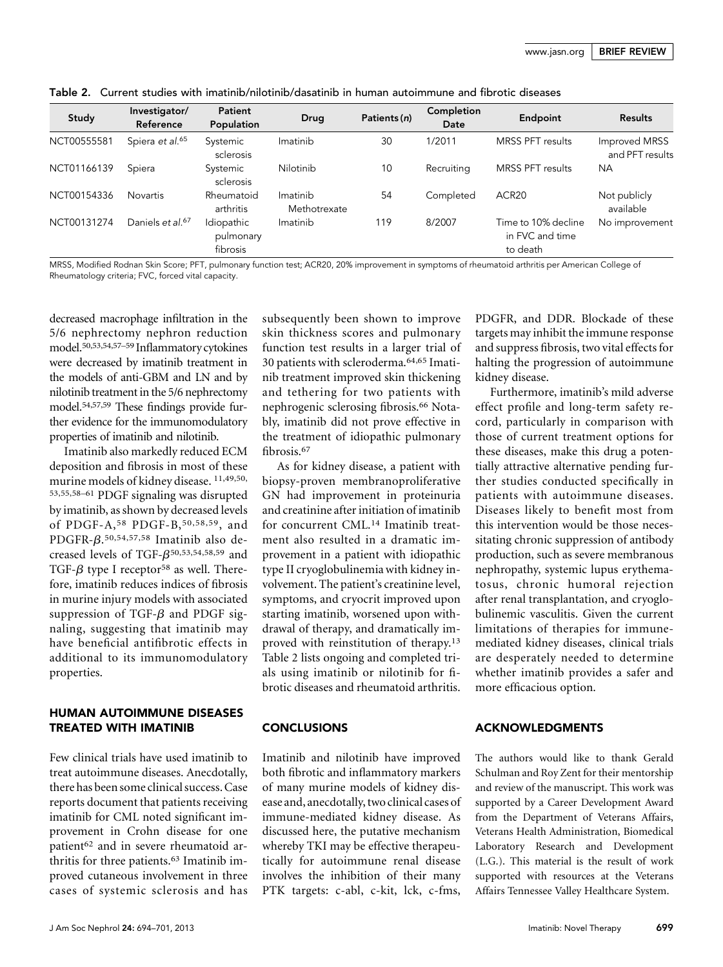www.jasn.org | BRIEF REVIEW

|  |  | Table 2. Current studies with imatinib/nilotinib/dasatinib in human autoimmune and fibrotic diseases |  |  |  |
|--|--|------------------------------------------------------------------------------------------------------|--|--|--|
|--|--|------------------------------------------------------------------------------------------------------|--|--|--|

| Study       | Investigator/<br>Reference   | Patient<br>Population               | Drug                     | Patients (n) | Completion<br>Date | Endpoint                                           | <b>Results</b>                   |
|-------------|------------------------------|-------------------------------------|--------------------------|--------------|--------------------|----------------------------------------------------|----------------------------------|
| NCT00555581 | Spiera et al. <sup>65</sup>  | Systemic<br>sclerosis               | Imatinib                 | 30           | 1/2011             | <b>MRSS PFT results</b>                            | Improved MRSS<br>and PFT results |
| NCT01166139 | Spiera                       | Systemic<br>sclerosis               | Nilotinib                | 10           | Recruiting         | <b>MRSS PFT results</b>                            | <b>NA</b>                        |
| NCT00154336 | <b>Novartis</b>              | Rheumatoid<br>arthritis             | Imatinib<br>Methotrexate | 54           | Completed          | ACR <sub>20</sub>                                  | Not publicly<br>available        |
| NCT00131274 | Daniels et al. <sup>67</sup> | Idiopathic<br>pulmonary<br>fibrosis | Imatinib                 | 119          | 8/2007             | Time to 10% decline<br>in FVC and time<br>to death | No improvement                   |

MRSS, Modified Rodnan Skin Score; PFT, pulmonary function test; ACR20, 20% improvement in symptoms of rheumatoid arthritis per American College of Rheumatology criteria; FVC, forced vital capacity.

decreased macrophage infiltration in the 5/6 nephrectomy nephron reduction model.50,53,54,57–<sup>59</sup> Inflammatory cytokines were decreased by imatinib treatment in the models of anti-GBM and LN and by nilotinib treatment in the 5/6 nephrectomy model.54,57,59 These findings provide further evidence for the immunomodulatory properties of imatinib and nilotinib.

Imatinib also markedly reduced ECM deposition and fibrosis in most of these murine models of kidney disease. 11,49,50, 53,55,58–<sup>61</sup> PDGF signaling was disrupted by imatinib, as shown by decreased levels of PDGF-A,58 PDGF-B,50,58,59, and PDGFR- $\beta$ .<sup>50,54,57,58</sup> Imatinib also decreased levels of TGF- $\beta$ <sup>50,53,54,58,59</sup> and TGF- $\beta$  type I receptor<sup>58</sup> as well. Therefore, imatinib reduces indices of fibrosis in murine injury models with associated suppression of TGF- $\beta$  and PDGF signaling, suggesting that imatinib may have beneficial antifibrotic effects in additional to its immunomodulatory properties.

## HUMAN AUTOIMMUNE DISEASES TREATED WITH IMATINIB

Few clinical trials have used imatinib to treat autoimmune diseases. Anecdotally, there has been some clinical success. Case reports document that patients receiving imatinib for CML noted significant improvement in Crohn disease for one patient<sup>62</sup> and in severe rheumatoid arthritis for three patients.<sup>63</sup> Imatinib improved cutaneous involvement in three cases of systemic sclerosis and has

subsequently been shown to improve skin thickness scores and pulmonary function test results in a larger trial of 30 patients with scleroderma.64,65 Imatinib treatment improved skin thickening and tethering for two patients with nephrogenic sclerosing fibrosis.66 Notably, imatinib did not prove effective in the treatment of idiopathic pulmonary fibrosis.67

As for kidney disease, a patient with biopsy-proven membranoproliferative GN had improvement in proteinuria and creatinine after initiation of imatinib for concurrent CML.14 Imatinib treatment also resulted in a dramatic improvement in a patient with idiopathic type II cryoglobulinemia with kidney involvement. The patient's creatinine level, symptoms, and cryocrit improved upon starting imatinib, worsened upon withdrawal of therapy, and dramatically improved with reinstitution of therapy.13 Table 2 lists ongoing and completed trials using imatinib or nilotinib for fibrotic diseases and rheumatoid arthritis.

#### **CONCLUSIONS**

Imatinib and nilotinib have improved both fibrotic and inflammatory markers of many murine models of kidney disease and, anecdotally, two clinical cases of immune-mediated kidney disease. As discussed here, the putative mechanism whereby TKI may be effective therapeutically for autoimmune renal disease involves the inhibition of their many PTK targets: c-abl, c-kit, lck, c-fms,

PDGFR, and DDR. Blockade of these targets may inhibit the immune response and suppress fibrosis, two vital effects for halting the progression of autoimmune kidney disease.

Furthermore, imatinib's mild adverse effect profile and long-term safety record, particularly in comparison with those of current treatment options for these diseases, make this drug a potentially attractive alternative pending further studies conducted specifically in patients with autoimmune diseases. Diseases likely to benefit most from this intervention would be those necessitating chronic suppression of antibody production, such as severe membranous nephropathy, systemic lupus erythematosus, chronic humoral rejection after renal transplantation, and cryoglobulinemic vasculitis. Given the current limitations of therapies for immunemediated kidney diseases, clinical trials are desperately needed to determine whether imatinib provides a safer and more efficacious option.

#### ACKNOWLEDGMENTS

The authors would like to thank Gerald Schulman and Roy Zent for their mentorship and review of the manuscript. This work was supported by a Career Development Award from the Department of Veterans Affairs, Veterans Health Administration, Biomedical Laboratory Research and Development (L.G.). This material is the result of work supported with resources at the Veterans Affairs Tennessee Valley Healthcare System.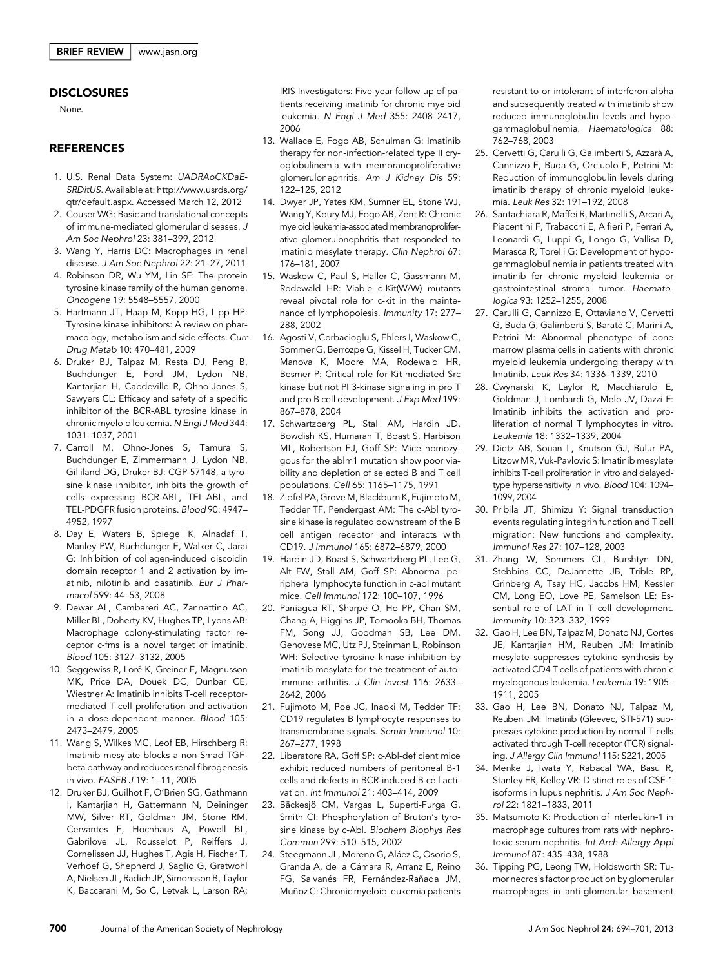#### **DISCLOSURES**

None.

#### **REFERENCES**

- 1. U.S. Renal Data System: UADRAoCKDaE-SRDitUS. Available at: http://www.usrds.org/ qtr/default.aspx. Accessed March 12, 2012
- 2. Couser WG: Basic and translational concepts of immune-mediated glomerular diseases. J Am Soc Nephrol 23: 381–399, 2012
- 3. Wang Y, Harris DC: Macrophages in renal disease. J Am Soc Nephrol 22: 21–27, 2011
- 4. Robinson DR, Wu YM, Lin SF: The protein tyrosine kinase family of the human genome. Oncogene 19: 5548–5557, 2000
- 5. Hartmann JT, Haap M, Kopp HG, Lipp HP: Tyrosine kinase inhibitors: A review on pharmacology, metabolism and side effects. Curr Drug Metab 10: 470–481, 2009
- 6. Druker BJ, Talpaz M, Resta DJ, Peng B, Buchdunger E, Ford JM, Lydon NB, Kantarjian H, Capdeville R, Ohno-Jones S, Sawyers CL: Efficacy and safety of a specific inhibitor of the BCR-ABL tyrosine kinase in chronic myeloid leukemia. N Engl J Med 344: 1031–1037, 2001
- 7. Carroll M, Ohno-Jones S, Tamura S, Buchdunger E, Zimmermann J, Lydon NB, Gilliland DG, Druker BJ: CGP 57148, a tyrosine kinase inhibitor, inhibits the growth of cells expressing BCR-ABL, TEL-ABL, and TEL-PDGFR fusion proteins. Blood 90: 4947– 4952, 1997
- 8. Day E, Waters B, Spiegel K, Alnadaf T, Manley PW, Buchdunger E, Walker C, Jarai G: Inhibition of collagen-induced discoidin domain receptor 1 and 2 activation by imatinib, nilotinib and dasatinib. Eur J Pharmacol 599: 44–53, 2008
- 9. Dewar AL, Cambareri AC, Zannettino AC, Miller BL, Doherty KV, Hughes TP, Lyons AB: Macrophage colony-stimulating factor receptor c-fms is a novel target of imatinib. Blood 105: 3127–3132, 2005
- 10. Seggewiss R, Loré K, Greiner E, Magnusson MK, Price DA, Douek DC, Dunbar CE, Wiestner A: Imatinib inhibits T-cell receptormediated T-cell proliferation and activation in a dose-dependent manner. Blood 105: 2473–2479, 2005
- 11. Wang S, Wilkes MC, Leof EB, Hirschberg R: Imatinib mesylate blocks a non-Smad TGFbeta pathway and reduces renal fibrogenesis in vivo. FASEB J 19: 1–11, 2005
- 12. Druker BJ, Guilhot F, O'Brien SG, Gathmann I, Kantarjian H, Gattermann N, Deininger MW, Silver RT, Goldman JM, Stone RM, Cervantes F, Hochhaus A, Powell BL, Gabrilove JL, Rousselot P, Reiffers J, Cornelissen JJ, Hughes T, Agis H, Fischer T, Verhoef G, Shepherd J, Saglio G, Gratwohl A, Nielsen JL, Radich JP, Simonsson B, Taylor K, Baccarani M, So C, Letvak L, Larson RA;

IRIS Investigators: Five-year follow-up of patients receiving imatinib for chronic myeloid leukemia. N Engl J Med 355: 2408–2417, 2006

- 13. Wallace E, Fogo AB, Schulman G: Imatinib therapy for non-infection-related type II cryoglobulinemia with membranoproliferative glomerulonephritis. Am J Kidney Dis 59: 122–125, 2012
- 14. Dwyer JP, Yates KM, Sumner EL, Stone WJ, Wang Y, Koury MJ, Fogo AB, Zent R: Chronic myeloid leukemia-associated membranoproliferative glomerulonephritis that responded to imatinib mesylate therapy. Clin Nephrol 67: 176–181, 2007
- 15. Waskow C, Paul S, Haller C, Gassmann M, Rodewald HR: Viable c-Kit(W/W) mutants reveal pivotal role for c-kit in the maintenance of lymphopoiesis. Immunity 17: 277– 288, 2002
- 16. Agosti V, Corbacioglu S, Ehlers I, Waskow C, Sommer G, Berrozpe G, Kissel H, Tucker CM, Manova K, Moore MA, Rodewald HR, Besmer P: Critical role for Kit-mediated Src kinase but not PI 3-kinase signaling in pro T and pro B cell development. J Exp Med 199: 867–878, 2004
- 17. Schwartzberg PL, Stall AM, Hardin JD, Bowdish KS, Humaran T, Boast S, Harbison ML, Robertson EJ, Goff SP: Mice homozygous for the ablm1 mutation show poor viability and depletion of selected B and T cell populations. Cell 65: 1165–1175, 1991
- 18. Zipfel PA, Grove M, Blackburn K, Fujimoto M, Tedder TF, Pendergast AM: The c-Abl tyrosine kinase is regulated downstream of the B cell antigen receptor and interacts with CD19. J Immunol 165: 6872–6879, 2000
- 19. Hardin JD, Boast S, Schwartzberg PL, Lee G, Alt FW, Stall AM, Goff SP: Abnormal peripheral lymphocyte function in c-abl mutant mice. Cell Immunol 172: 100–107, 1996
- 20. Paniagua RT, Sharpe O, Ho PP, Chan SM, Chang A, Higgins JP, Tomooka BH, Thomas FM, Song JJ, Goodman SB, Lee DM, Genovese MC, Utz PJ, Steinman L, Robinson WH: Selective tyrosine kinase inhibition by imatinib mesylate for the treatment of autoimmune arthritis. J Clin Invest 116: 2633– 2642, 2006
- 21. Fujimoto M, Poe JC, Inaoki M, Tedder TF: CD19 regulates B lymphocyte responses to transmembrane signals. Semin Immunol 10: 267–277, 1998
- 22. Liberatore RA, Goff SP: c-Abl-deficient mice exhibit reduced numbers of peritoneal B-1 cells and defects in BCR-induced B cell activation. Int Immunol 21: 403–414, 2009
- 23. Bäckesjö CM, Vargas L, Superti-Furga G, Smith CI: Phosphorylation of Bruton's tyrosine kinase by c-Abl. Biochem Biophys Res Commun 299: 510–515, 2002
- 24. Steegmann JL, Moreno G, Aláez C, Osorio S, Granda A, de la Cámara R, Arranz E, Reino FG, Salvanés FR, Fernández-Rañada JM, Muñoz C: Chronic myeloid leukemia patients

resistant to or intolerant of interferon alpha and subsequently treated with imatinib show reduced immunoglobulin levels and hypogammaglobulinemia. Haematologica 88: 762–768, 2003

- 25. Cervetti G, Carulli G, Galimberti S, Azzarà A, Cannizzo E, Buda G, Orciuolo E, Petrini M: Reduction of immunoglobulin levels during imatinib therapy of chronic myeloid leukemia. Leuk Res 32: 191–192, 2008
- 26. Santachiara R, Maffei R, Martinelli S, Arcari A, Piacentini F, Trabacchi E, Alfieri P, Ferrari A, Leonardi G, Luppi G, Longo G, Vallisa D, Marasca R, Torelli G: Development of hypogammaglobulinemia in patients treated with imatinib for chronic myeloid leukemia or gastrointestinal stromal tumor. Haematologica 93: 1252–1255, 2008
- 27. Carulli G, Cannizzo E, Ottaviano V, Cervetti G, Buda G, Galimberti S, Baratè C, Marini A, Petrini M: Abnormal phenotype of bone marrow plasma cells in patients with chronic myeloid leukemia undergoing therapy with Imatinib. Leuk Res 34: 1336–1339, 2010
- 28. Cwynarski K, Laylor R, Macchiarulo E, Goldman J, Lombardi G, Melo JV, Dazzi F: Imatinib inhibits the activation and proliferation of normal T lymphocytes in vitro. Leukemia 18: 1332–1339, 2004
- 29. Dietz AB, Souan L, Knutson GJ, Bulur PA, Litzow MR, Vuk-Pavlovic S: Imatinib mesylate inhibits T-cell proliferation in vitro and delayedtype hypersensitivity in vivo. Blood 104: 1094– 1099, 2004
- 30. Pribila JT, Shimizu Y: Signal transduction events regulating integrin function and T cell migration: New functions and complexity. Immunol Res 27: 107–128, 2003
- 31. Zhang W, Sommers CL, Burshtyn DN, Stebbins CC, DeJarnette JB, Trible RP, Grinberg A, Tsay HC, Jacobs HM, Kessler CM, Long EO, Love PE, Samelson LE: Essential role of LAT in T cell development. Immunity 10: 323–332, 1999
- 32. Gao H, Lee BN, Talpaz M, Donato NJ, Cortes JE, Kantarjian HM, Reuben JM: Imatinib mesylate suppresses cytokine synthesis by activated CD4 T cells of patients with chronic myelogenous leukemia. Leukemia 19: 1905– 1911, 2005
- 33. Gao H, Lee BN, Donato NJ, Talpaz M, Reuben JM: Imatinib (Gleevec, STI-571) suppresses cytokine production by normal T cells activated through T-cell receptor (TCR) signaling. J Allergy Clin Immunol 115: S221, 2005
- 34. Menke J, Iwata Y, Rabacal WA, Basu R, Stanley ER, Kelley VR: Distinct roles of CSF-1 isoforms in lupus nephritis. J Am Soc Nephrol 22: 1821–1833, 2011
- 35. Matsumoto K: Production of interleukin-1 in macrophage cultures from rats with nephrotoxic serum nephritis. Int Arch Allergy Appl Immunol 87: 435–438, 1988
- 36. Tipping PG, Leong TW, Holdsworth SR: Tumor necrosis factor production by glomerular macrophages in anti-glomerular basement